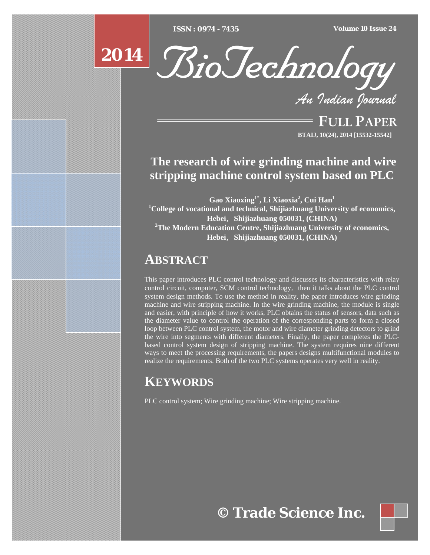[Type text] [Type text] [Type text] *ISSN : 0974 - 7435 Volume 10 Issue 24*



*An Indian Journal*

FULL PAPER **BTAIJ, 10(24), 2014 [15532-15542]**

# **The research of wire grinding machine and wire stripping machine control system based on PLC**

 $\mathbf{G}$ ao Xiaoxing<sup>1\*</sup>, Li Xiaoxia<sup>2</sup>, Cui Han<sup>1</sup> **1 College of vocational and technical, Shijiazhuang University of economics, Hebei**,**Shijiazhuang 050031, (CHINA) 2 The Modern Education Centre, Shijiazhuang University of economics, Hebei**,**Shijiazhuang 050031, (CHINA)** 

# **ABSTRACT**

This paper introduces PLC control technology and discusses its characteristics with relay control circuit, computer, SCM control technology, then it talks about the PLC control system design methods. To use the method in reality, the paper introduces wire grinding machine and wire stripping machine. In the wire grinding machine, the module is single and easier, with principle of how it works, PLC obtains the status of sensors, data such as the diameter value to control the operation of the corresponding parts to form a closed loop between PLC control system, the motor and wire diameter grinding detectors to grind the wire into segments with different diameters. Finally, the paper completes the PLCbased control system design of stripping machine. The system requires nine different ways to meet the processing requirements, the papers designs multifunctional modules to realize the requirements. Both of the two PLC systems operates very well in reality.

# **KEYWORDS**

PLC control system; Wire grinding machine; Wire stripping machine.

**© Trade Science Inc.**

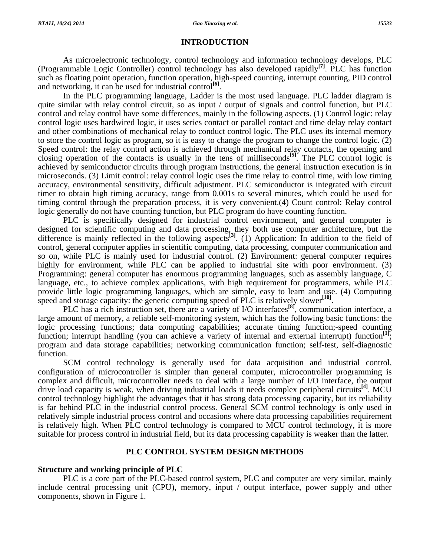### **INTRODUCTION**

 As microelectronic technology, control technology and information technology develops, PLC (Programmable Logic Controller) control technology has also developed rapidly**[7]**. PLC has function such as floating point operation, function operation, high-speed counting, interrupt counting, PID control and networking, it can be used for industrial control<sup>[6]</sup>.

 In the PLC programming language, Ladder is the most used language. PLC ladder diagram is quite similar with relay control circuit, so as input / output of signals and control function, but PLC control and relay control have some differences, mainly in the following aspects. (1) Control logic: relay control logic uses hardwired logic, it uses series contact or parallel contact and time delay relay contact and other combinations of mechanical relay to conduct control logic. The PLC uses its internal memory to store the control logic as program, so it is easy to change the program to change the control logic. (2) Speed control: the relay control action is achieved through mechanical relay contacts, the opening and closing operation of the contacts is usually in the tens of milliseconds**[5]**. The PLC control logic is achieved by semiconductor circuits through program instructions, the general instruction execution is in microseconds. (3) Limit control: relay control logic uses the time relay to control time, with low timing accuracy, environmental sensitivity, difficult adjustment. PLC semiconductor is integrated with circuit timer to obtain high timing accuracy, range from 0.001s to several minutes, which could be used for timing control through the preparation process, it is very convenient.(4) Count control: Relay control logic generally do not have counting function, but PLC program do have counting function.

 PLC is specifically designed for industrial control environment, and general computer is designed for scientific computing and data processing, they both use computer architecture, but the difference is mainly reflected in the following aspects**[3]**. (1) Application: In addition to the field of control, general computer applies in scientific computing, data processing, computer communication and so on, while PLC is mainly used for industrial control. (2) Environment: general computer requires highly for environment, while PLC can be applied to industrial site with poor environment. (3) Programming: general computer has enormous programming languages, such as assembly language, C language, etc., to achieve complex applications, with high requirement for programmers, while PLC provide little logic programming languages, which are simple, easy to learn and use. (4) Computing speed and storage capacity: the generic computing speed of PLC is relatively slower<sup>[10]</sup>.

PLC has a rich instruction set, there are a variety of I/O interfaces<sup>[8]</sup>, communication interface, a large amount of memory, a reliable self-monitoring system, which has the following basic functions: the logic processing functions; data computing capabilities; accurate timing function;-speed counting function; interrupt handling (you can achieve a variety of internal and external interrupt) function<sup>[1]</sup>; program and data storage capabilities; networking communication function; self-test, self-diagnostic function.

 SCM control technology is generally used for data acquisition and industrial control, configuration of microcontroller is simpler than general computer, microcontroller programming is complex and difficult, microcontroller needs to deal with a large number of I/O interface, the output drive load capacity is weak, when driving industrial loads it needs complex peripheral circuits**[4]**. MCU control technology highlight the advantages that it has strong data processing capacity, but its reliability is far behind PLC in the industrial control process. General SCM control technology is only used in relatively simple industrial process control and occasions where data processing capabilities requirement is relatively high. When PLC control technology is compared to MCU control technology, it is more suitable for process control in industrial field, but its data processing capability is weaker than the latter.

### **PLC CONTROL SYSTEM DESIGN METHODS**

#### **Structure and working principle of PLC**

 PLC is a core part of the PLC-based control system, PLC and computer are very similar, mainly include central processing unit (CPU), memory, input / output interface, power supply and other components, shown in Figure 1.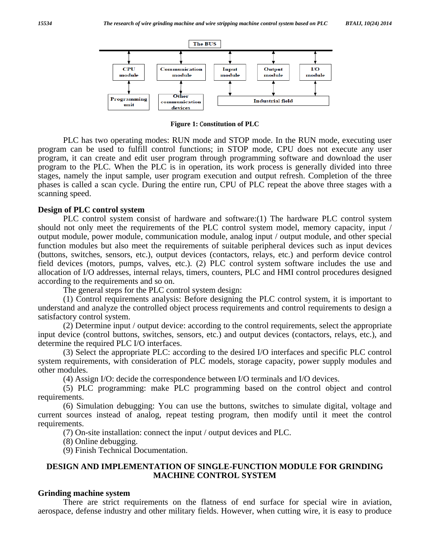

**Figure 1:** C**onstitution of PLC** 

 PLC has two operating modes: RUN mode and STOP mode. In the RUN mode, executing user program can be used to fulfill control functions; in STOP mode, CPU does not execute any user program, it can create and edit user program through programming software and download the user program to the PLC. When the PLC is in operation, its work process is generally divided into three stages, namely the input sample, user program execution and output refresh. Completion of the three phases is called a scan cycle. During the entire run, CPU of PLC repeat the above three stages with a scanning speed.

### **Design of PLC control system**

 PLC control system consist of hardware and software:(1) The hardware PLC control system should not only meet the requirements of the PLC control system model, memory capacity, input / output module, power module, communication module, analog input / output module, and other special function modules but also meet the requirements of suitable peripheral devices such as input devices (buttons, switches, sensors, etc.), output devices (contactors, relays, etc.) and perform device control field devices (motors, pumps, valves, etc.). (2) PLC control system software includes the use and allocation of I/O addresses, internal relays, timers, counters, PLC and HMI control procedures designed according to the requirements and so on.

The general steps for the PLC control system design:

 (1) Control requirements analysis: Before designing the PLC control system, it is important to understand and analyze the controlled object process requirements and control requirements to design a satisfactory control system.

 (2) Determine input / output device: according to the control requirements, select the appropriate input device (control buttons, switches, sensors, etc.) and output devices (contactors, relays, etc.), and determine the required PLC I/O interfaces.

 (3) Select the appropriate PLC: according to the desired I/O interfaces and specific PLC control system requirements, with consideration of PLC models, storage capacity, power supply modules and other modules.

(4) Assign I/O: decide the correspondence between I/O terminals and I/O devices.

 (5) PLC programming: make PLC programming based on the control object and control requirements.

 (6) Simulation debugging: You can use the buttons, switches to simulate digital, voltage and current sources instead of analog, repeat testing program, then modify until it meet the control requirements.

(7) On-site installation: connect the input / output devices and PLC.

(8) Online debugging.

(9) Finish Technical Documentation.

### **DESIGN AND IMPLEMENTATION OF SINGLE-FUNCTION MODULE FOR GRINDING MACHINE CONTROL SYSTEM**

#### **Grinding machine system**

 There are strict requirements on the flatness of end surface for special wire in aviation, aerospace, defense industry and other military fields. However, when cutting wire, it is easy to produce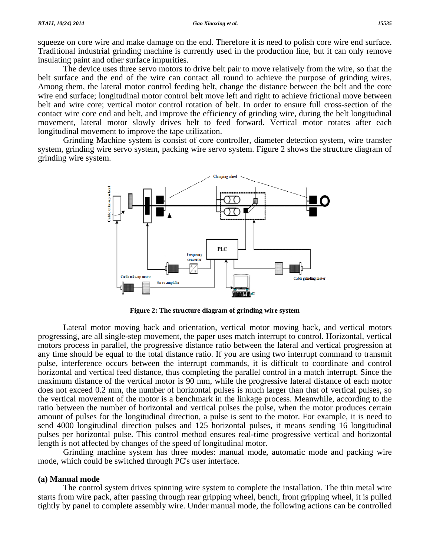squeeze on core wire and make damage on the end. Therefore it is need to polish core wire end surface. Traditional industrial grinding machine is currently used in the production line, but it can only remove insulating paint and other surface impurities.

 The device uses three servo motors to drive belt pair to move relatively from the wire, so that the belt surface and the end of the wire can contact all round to achieve the purpose of grinding wires. Among them, the lateral motor control feeding belt, change the distance between the belt and the core wire end surface; longitudinal motor control belt move left and right to achieve frictional move between belt and wire core; vertical motor control rotation of belt. In order to ensure full cross-section of the contact wire core end and belt, and improve the efficiency of grinding wire, during the belt longitudinal movement, lateral motor slowly drives belt to feed forward. Vertical motor rotates after each longitudinal movement to improve the tape utilization.

 Grinding Machine system is consist of core controller, diameter detection system, wire transfer system, grinding wire servo system, packing wire servo system. Figure 2 shows the structure diagram of grinding wire system.



**Figure 2: The structure diagram of grinding wire system** 

 Lateral motor moving back and orientation, vertical motor moving back, and vertical motors progressing, are all single-step movement, the paper uses match interrupt to control. Horizontal, vertical motors process in parallel, the progressive distance ratio between the lateral and vertical progression at any time should be equal to the total distance ratio. If you are using two interrupt command to transmit pulse, interference occurs between the interrupt commands, it is difficult to coordinate and control horizontal and vertical feed distance, thus completing the parallel control in a match interrupt. Since the maximum distance of the vertical motor is 90 mm, while the progressive lateral distance of each motor does not exceed 0.2 mm, the number of horizontal pulses is much larger than that of vertical pulses, so the vertical movement of the motor is a benchmark in the linkage process. Meanwhile, according to the ratio between the number of horizontal and vertical pulses the pulse, when the motor produces certain amount of pulses for the longitudinal direction, a pulse is sent to the motor. For example, it is need to send 4000 longitudinal direction pulses and 125 horizontal pulses, it means sending 16 longitudinal pulses per horizontal pulse. This control method ensures real-time progressive vertical and horizontal length is not affected by changes of the speed of longitudinal motor.

 Grinding machine system has three modes: manual mode, automatic mode and packing wire mode, which could be switched through PC's user interface.

#### **(a) Manual mode**

 The control system drives spinning wire system to complete the installation. The thin metal wire starts from wire pack, after passing through rear gripping wheel, bench, front gripping wheel, it is pulled tightly by panel to complete assembly wire. Under manual mode, the following actions can be controlled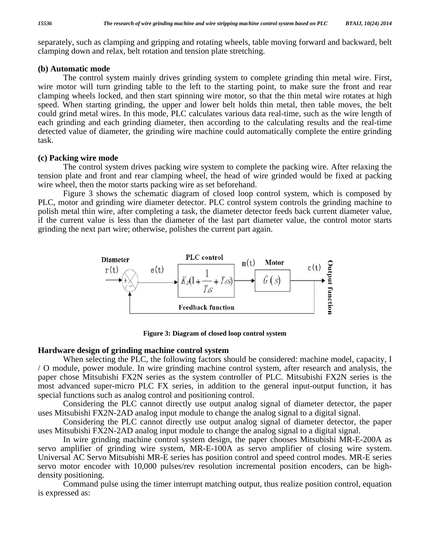separately, such as clamping and gripping and rotating wheels, table moving forward and backward, belt clamping down and relax, belt rotation and tension plate stretching.

## **(b) Automatic mode**

 The control system mainly drives grinding system to complete grinding thin metal wire. First, wire motor will turn grinding table to the left to the starting point, to make sure the front and rear clamping wheels locked, and then start spinning wire motor, so that the thin metal wire rotates at high speed. When starting grinding, the upper and lower belt holds thin metal, then table moves, the belt could grind metal wires. In this mode, PLC calculates various data real-time, such as the wire length of each grinding and each grinding diameter, then according to the calculating results and the real-time detected value of diameter, the grinding wire machine could automatically complete the entire grinding task.

# **(c) Packing wire mode**

 The control system drives packing wire system to complete the packing wire. After relaxing the tension plate and front and rear clamping wheel, the head of wire grinded would be fixed at packing wire wheel, then the motor starts packing wire as set beforehand.

 Figure 3 shows the schematic diagram of closed loop control system, which is composed by PLC, motor and grinding wire diameter detector. PLC control system controls the grinding machine to polish metal thin wire, after completing a task, the diameter detector feeds back current diameter value, if the current value is less than the diameter of the last part diameter value, the control motor starts grinding the next part wire; otherwise, polishes the current part again.



**Figure 3: Diagram of closed loop control system** 

# **Hardware design of grinding machine control system**

 When selecting the PLC, the following factors should be considered: machine model, capacity, I / O module, power module. In wire grinding machine control system, after research and analysis, the paper chose Mitsubishi FX2N series as the system controller of PLC. Mitsubishi FX2N series is the most advanced super-micro PLC FX series, in addition to the general input-output function, it has special functions such as analog control and positioning control.

 Considering the PLC cannot directly use output analog signal of diameter detector, the paper uses Mitsubishi FX2N-2AD analog input module to change the analog signal to a digital signal.

 Considering the PLC cannot directly use output analog signal of diameter detector, the paper uses Mitsubishi FX2N-2AD analog input module to change the analog signal to a digital signal.

 In wire grinding machine control system design, the paper chooses Mitsubishi MR-E-200A as servo amplifier of grinding wire system, MR-E-100A as servo amplifier of closing wire system. Universal AC Servo Mitsubishi MR-E series has position control and speed control modes. MR-E series servo motor encoder with 10,000 pulses/rev resolution incremental position encoders, can be highdensity positioning.

 Command pulse using the timer interrupt matching output, thus realize position control, equation is expressed as: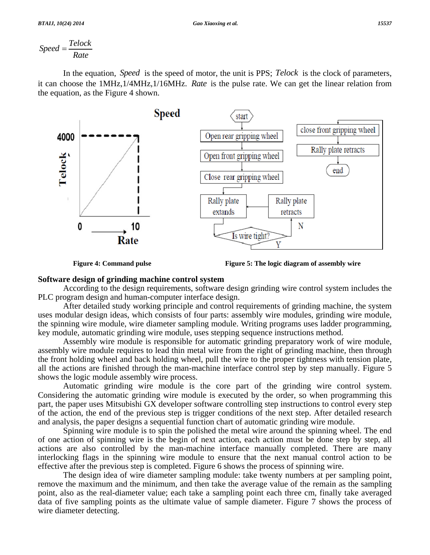$$
Speed = \frac{Telock}{Rate}
$$

 In the equation, *Speed* is the speed of motor, the unit is PPS; *Telock* is the clock of parameters, it can choose the 1MHz,1/4MHz,1/16MHz. *Rate* is the pulse rate. We can get the linear relation from the equation, as the Figure 4 shown.



**Figure 4: Command pulse Figure 5: The logic diagram of assembly wire**

### **Software design of grinding machine control system**

 According to the design requirements, software design grinding wire control system includes the PLC program design and human-computer interface design.

 After detailed study working principle and control requirements of grinding machine, the system uses modular design ideas, which consists of four parts: assembly wire modules, grinding wire module, the spinning wire module, wire diameter sampling module. Writing programs uses ladder programming, key module, automatic grinding wire module, uses stepping sequence instructions method.

 Assembly wire module is responsible for automatic grinding preparatory work of wire module, assembly wire module requires to lead thin metal wire from the right of grinding machine, then through the front holding wheel and back holding wheel, pull the wire to the proper tightness with tension plate, all the actions are finished through the man-machine interface control step by step manually. Figure 5 shows the logic module assembly wire process.

 Automatic grinding wire module is the core part of the grinding wire control system. Considering the automatic grinding wire module is executed by the order, so when programming this part, the paper uses Mitsubishi GX developer software controlling step instructions to control every step of the action, the end of the previous step is trigger conditions of the next step. After detailed research and analysis, the paper designs a sequential function chart of automatic grinding wire module.

 Spinning wire module is to spin the polished the metal wire around the spinning wheel. The end of one action of spinning wire is the begin of next action, each action must be done step by step, all actions are also controlled by the man-machine interface manually completed. There are many interlocking flags in the spinning wire module to ensure that the next manual control action to be effective after the previous step is completed. Figure 6 shows the process of spinning wire.

 The design idea of wire diameter sampling module: take twenty numbers at per sampling point, remove the maximum and the minimum, and then take the average value of the remain as the sampling point, also as the real-diameter value; each take a sampling point each three cm, finally take averaged data of five sampling points as the ultimate value of sample diameter. Figure 7 shows the process of wire diameter detecting.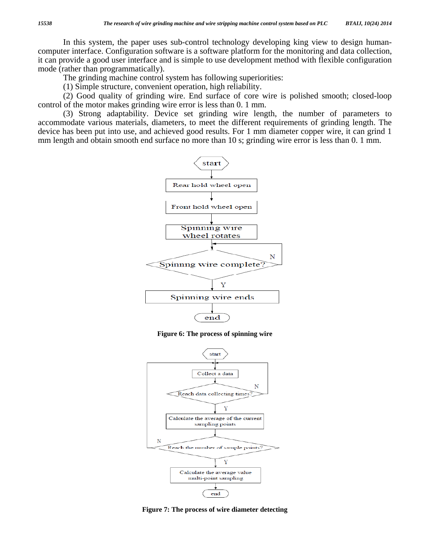In this system, the paper uses sub-control technology developing king view to design humancomputer interface. Configuration software is a software platform for the monitoring and data collection, it can provide a good user interface and is simple to use development method with flexible configuration mode (rather than programmatically).

The grinding machine control system has following superiorities:

(1) Simple structure, convenient operation, high reliability.

 (2) Good quality of grinding wire. End surface of core wire is polished smooth; closed-loop control of the motor makes grinding wire error is less than 0. 1 mm.

 (3) Strong adaptability. Device set grinding wire length, the number of parameters to accommodate various materials, diameters, to meet the different requirements of grinding length. The device has been put into use, and achieved good results. For 1 mm diameter copper wire, it can grind 1 mm length and obtain smooth end surface no more than 10 s; grinding wire error is less than 0. 1 mm.



**Figure 6: The process of spinning wire** 



**Figure 7: The process of wire diameter detecting**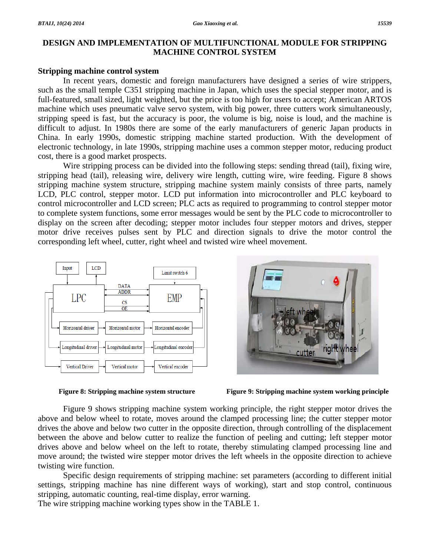# **DESIGN AND IMPLEMENTATION OF MULTIFUNCTIONAL MODULE FOR STRIPPING MACHINE CONTROL SYSTEM**

## **Stripping machine control system**

 In recent years, domestic and foreign manufacturers have designed a series of wire strippers, such as the small temple C351 stripping machine in Japan, which uses the special stepper motor, and is full-featured, small sized, light weighted, but the price is too high for users to accept; American ARTOS machine which uses pneumatic valve servo system, with big power, three cutters work simultaneously, stripping speed is fast, but the accuracy is poor, the volume is big, noise is loud, and the machine is difficult to adjust. In 1980s there are some of the early manufacturers of generic Japan products in China. In early 1990s, domestic stripping machine started production. With the development of electronic technology, in late 1990s, stripping machine uses a common stepper motor, reducing product cost, there is a good market prospects.

 Wire stripping process can be divided into the following steps: sending thread (tail), fixing wire, stripping head (tail), releasing wire, delivery wire length, cutting wire, wire feeding. Figure 8 shows stripping machine system structure, stripping machine system mainly consists of three parts, namely LCD, PLC control, stepper motor. LCD put information into microcontroller and PLC keyboard to control microcontroller and LCD screen; PLC acts as required to programming to control stepper motor to complete system functions, some error messages would be sent by the PLC code to microcontroller to display on the screen after decoding; stepper motor includes four stepper motors and drives, stepper motor drive receives pulses sent by PLC and direction signals to drive the motor control the corresponding left wheel, cutter, right wheel and twisted wire wheel movement.







**Figure 8: Stripping machine system structure Figure 9: Stripping machine system working principle**

 Figure 9 shows stripping machine system working principle, the right stepper motor drives the above and below wheel to rotate, moves around the clamped processing line; the cutter stepper motor drives the above and below two cutter in the opposite direction, through controlling of the displacement between the above and below cutter to realize the function of peeling and cutting; left stepper motor drives above and below wheel on the left to rotate, thereby stimulating clamped processing line and move around; the twisted wire stepper motor drives the left wheels in the opposite direction to achieve twisting wire function.

 Specific design requirements of stripping machine: set parameters (according to different initial settings, stripping machine has nine different ways of working), start and stop control, continuous stripping, automatic counting, real-time display, error warning.

The wire stripping machine working types show in the TABLE 1.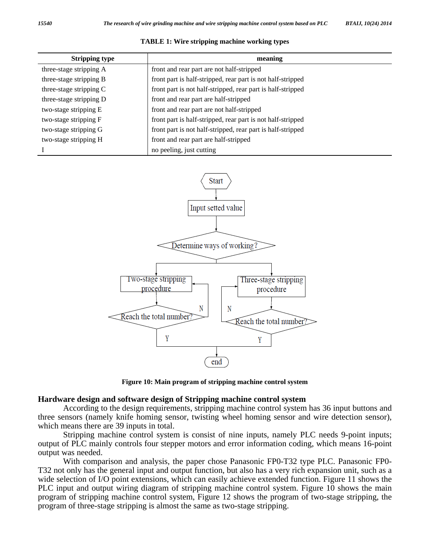| <b>Stripping type</b>   | meaning                                                     |  |  |
|-------------------------|-------------------------------------------------------------|--|--|
| three-stage stripping A | front and rear part are not half-stripped                   |  |  |
| three-stage stripping B | front part is half-stripped, rear part is not half-stripped |  |  |
| three-stage stripping C | front part is not half-stripped, rear part is half-stripped |  |  |
| three-stage stripping D | front and rear part are half-stripped                       |  |  |
| two-stage stripping E   | front and rear part are not half-stripped                   |  |  |
| two-stage stripping F   | front part is half-stripped, rear part is not half-stripped |  |  |
| two-stage stripping G   | front part is not half-stripped, rear part is half-stripped |  |  |
| two-stage stripping H   | front and rear part are half-stripped                       |  |  |
|                         | no peeling, just cutting                                    |  |  |

**TABLE 1: Wire stripping machine working types**



**Figure 10: Main program of stripping machine control system** 

#### **Hardware design and software design of Stripping machine control system**

 According to the design requirements, stripping machine control system has 36 input buttons and three sensors (namely knife homing sensor, twisting wheel homing sensor and wire detection sensor), which means there are 39 inputs in total.

 Stripping machine control system is consist of nine inputs, namely PLC needs 9-point inputs; output of PLC mainly controls four stepper motors and error information coding, which means 16-point output was needed.

 With comparison and analysis, the paper chose Panasonic FP0-T32 type PLC. Panasonic FP0- T32 not only has the general input and output function, but also has a very rich expansion unit, such as a wide selection of I/O point extensions, which can easily achieve extended function. Figure 11 shows the PLC input and output wiring diagram of stripping machine control system. Figure 10 shows the main program of stripping machine control system, Figure 12 shows the program of two-stage stripping, the program of three-stage stripping is almost the same as two-stage stripping.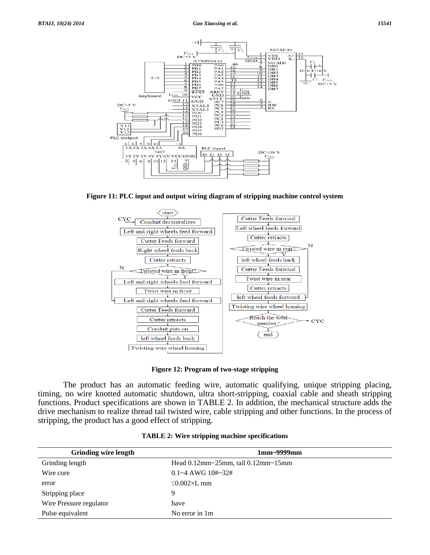

**Figure 11: PLC input and output wiring diagram of stripping machine control system** 



**Figure 12: Program of two-stage stripping**

 The product has an automatic feeding wire, automatic qualifying, unique stripping placing, timing, no wire knotted automatic shutdown, ultra short-stripping, coaxial cable and sheath stripping functions. Product specifications are shown in TABLE 2. In addition, the mechanical structure adds the drive mechanism to realize thread tail twisted wire, cable stripping and other functions. In the process of stripping, the product has a good effect of stripping.

| <b>Grinding wire length</b> | $1mm-9999mm$                                                 |  |
|-----------------------------|--------------------------------------------------------------|--|
| Grinding length             | Head $0.12$ mm $\sim$ 25mm, tail $0.12$ mm $\sim$ 15mm       |  |
| Wire core                   | $0.1 - 4$ AWG $10\text{\textup{#}} \sim 32\text{\textup{#}}$ |  |
| error                       | $\leq 0.002 \times L$ mm                                     |  |
| Stripping place             | 9                                                            |  |
| Wire Pressure regulator     | have                                                         |  |
| Pulse equivalent            | No error in 1m                                               |  |

|  |  |  |  |  |  |  | <b>TABLE 2: Wire stripping machine specifications</b> |
|--|--|--|--|--|--|--|-------------------------------------------------------|
|--|--|--|--|--|--|--|-------------------------------------------------------|